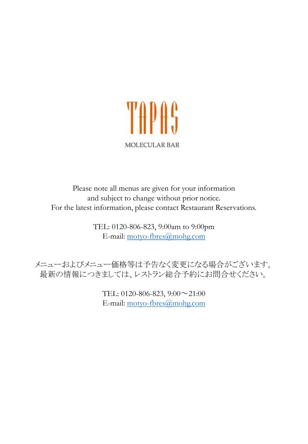

Please note all menus are given for your information and subject to change without prior notice. For the latest information, please contact Restaurant Reservations.

> TEL: 0120-806-823, 9:00am to 9:00pm E-mail: [motyo-fbres@mohg.com](mailto:motyo-fbres@mohg.com)

メニューおよびメニュー価格等は予告なく変更になる場合がございます。 最新の情報につきましては、レストラン総合予約にお問合せください。

> TEL: 0120-806-823, 9:00~21:00 E-mail: [motyo-fbres@mohg.com](mailto:motyo-fbres@mohg.com)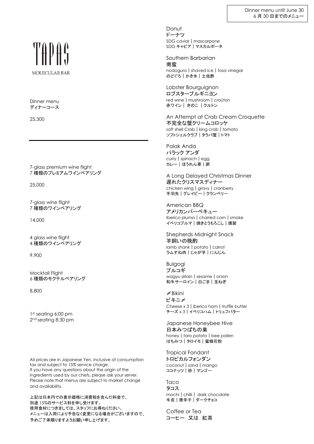## MOLECULAR BAR

Dinner menu ディナーコース

25,300

7-glass premium wine flight 7 種類のプレミアムワインペアリング

25,000

7-glass wine flight 7 種類のワインペアリング

14,000

4 glass wine flight 4 種類のワインペアリング

9,900

Mocktail Flight 6 種類のモクテルペアリング

8,800

1 st seating 6:00 pm 2 nd seating 8:30 pm

All prices are in Japanese Yen, inclusive of consumption tax and subject to 15% service charge. If you have any questions about the origin of the ingredients used by our chefs, please ask your server. Please note that menus are subject to market change and availability.

上記は日本円での表示価格に消費税を含んだ料金で、 別途 15%のサービス料を申し受けます。 使用食材につきましては、スタッフにお尋ねください。 メニューは入荷により予告なく変更になる場合がございますので、 予めご了承賜りますようお願い申し上げます。

Donut ドーナツ SDG caviar | mascarpone SDG キャビア|マスカルポーネ

Southern Barbarian 南蛮 nodoguro | shaved ice | tosa vinegar のどぐろ|かき氷|土佐酢

Lobster Bourguignon ロブスターブルギニヨン red wine | mushroom | croûton 赤ワイン| きのこ |クルトン

An Attempt at Crab Cream Croquette 不完全な蟹クリームコロッケ soft shell Crab | king crab | tomato ソフトシェルクラブ|タラバ蟹|トマト

Palak Anda パラック アンダ curry | spinach | egg カレー|ほうれん草|卵

A Long Delayed Christmas Dinner 遅れたクリスマスディナー chicken wing | gravy | cranberry 手羽先 | グレイビー | クランベリー

American BBQ アメリカンバーベキュー Iberico pluma | charred corn | smoke イベリコプルマ|焼きとうもろこし|燻製

Shepherds Midnight Snack 羊飼いの晩酌 lamb shank | potato | carrot ラムすね肉|じゃが芋|にんじん

Bulgogi プルコギ wagyu sirloin | sesame | onion 和牛サーロイン|白ごま|玉ねぎ

〆Bikini ビキニ〆 Cheese x 3 | iberico ham | truffle butter チーズ x 3|イベリコハム|トリュフバター

Japanese Honeybee Hive 日本みつばちの巣 honey | taro potato | bee pollen はちみつ|タロイモ|蜜蜂花粉

Tropical Fondant トロピカルフォンダン coconut | sand | mango ココナッツ | 砂 | マンゴー

Taco タコス mochi | chilli | dark chocolate 牛皮|唐辛子|ダークチョコ

Coffee or Tea コーヒー 又は 紅茶